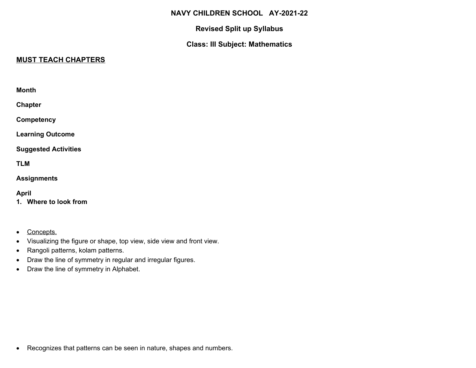#### **NAVY CHILDREN SCHOOL AY-2021-22**

#### **Revised Split up Syllabus**

## **Class: III Subject: Mathematics**

## **MUST TEACH CHAPTERS**

| Month                       |  |
|-----------------------------|--|
| Chapter                     |  |
| Competency                  |  |
| <b>Learning Outcome</b>     |  |
| <b>Suggested Activities</b> |  |
| TLM                         |  |
| Assignments                 |  |

#### **April**

- **1. Where to look from**
- Concepts.
- Visualizing the figure or shape, top view, side view and front view.
- Rangoli patterns, kolam patterns.
- Draw the line of symmetry in regular and irregular figures.
- Draw the line of symmetry in Alphabet.

Recognizes that patterns can be seen in nature, shapes and numbers.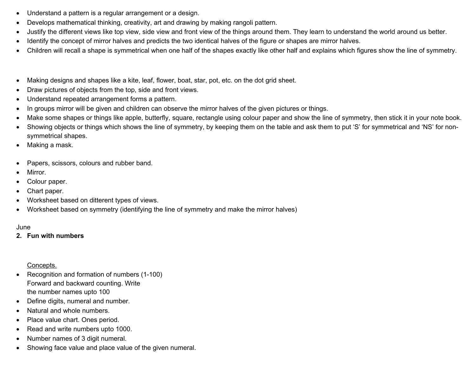- Understand a pattern is a regular arrangement or a design.
- Develops mathematical thinking, creativity, art and drawing by making rangoli pattern.
- Justify the different views like top view, side view and front view of the things around them. They learn to understand the world around us better.
- Identify the concept of mirror halves and predicts the two identical halves of the figure or shapes are mirror halves.
- Children will recall a shape is symmetrical when one half of the shapes exactly like other half and explains which figures show the line of symmetry.
- Making designs and shapes like a kite, leaf, flower, boat, star, pot, etc. on the dot grid sheet.
- Draw pictures of objects from the top, side and front views.
- Understand repeated arrangement forms a pattern.
- In groups mirror will be given and children can observe the mirror halves of the given pictures or things.
- Make some shapes or things like apple, butterfly, square, rectangle using colour paper and show the line of symmetry, then stick it in your note book.
- Showing objects or things which shows the line of symmetry, by keeping them on the table and ask them to put 'S' for symmetrical and 'NS' for nonsymmetrical shapes.
- Making a mask.
- Papers, scissors, colours and rubber band.
- Mirror.
- Colour paper.
- Chart paper.
- Worksheet based on ditterent types of views.
- Worksheet based on symmetry (identifying the line of symmetry and make the mirror halves)

#### June

#### **2. Fun with numbers**

Concepts.

- Recognition and formation of numbers (1-100) Forward and backward counting. Write the number names upto 100
- Define digits, numeral and number.
- Natural and whole numbers.
- Place value chart. Ones period.
- Read and write numbers upto 1000.
- Number names of 3 digit numeral.
- Showing face value and place value of the given numeral.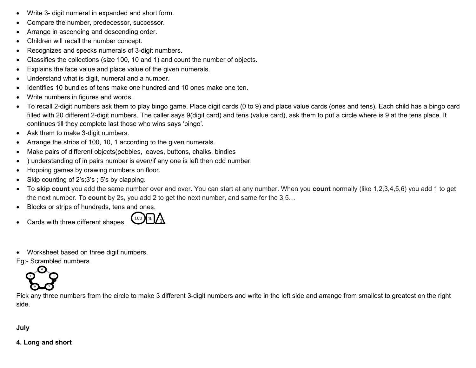- Write 3- digit numeral in expanded and short form.
- Compare the number, predecessor, successor.
- Arrange in ascending and descending order.
- Children will recall the number concept.
- Recognizes and specks numerals of 3-digit numbers.
- Classifies the collections (size 100, 10 and 1) and count the number of objects.
- Explains the face value and place value of the given numerals.
- Understand what is digit, numeral and a number.
- Identifies 10 bundles of tens make one hundred and 10 ones make one ten.
- Write numbers in figures and words.
- To recall 2-digit numbers ask them to play bingo game. Place digit cards (0 to 9) and place value cards (ones and tens). Each child has a bingo card filled with 20 different 2-digit numbers. The caller says 9(digit card) and tens (value card), ask them to put a circle where is 9 at the tens place. It continues till they complete last those who wins says 'bingo'.
- Ask them to make 3-digit numbers.
- Arrange the strips of 100, 10, 1 according to the given numerals.
- Make pairs of different objects(pebbles, leaves, buttons, chalks, bindies
- ) understanding of in pairs number is even/if any one is left then odd number.
- Hopping games by drawing numbers on floor.
- Skip counting of 2's;3's ; 5's by clapping.
- To **skip count** you add the same number over and over. You can start at any number. When you **count** normally (like 1,2,3,4,5,6) you add 1 to get the next number. To **count** by 2s, you add 2 to get the next number, and same for the 3,5…
- Blocks or strips of hundreds, tens and ones.
- Cards with three different shapes.



Worksheet based on three digit numbers.

Eg:- Scrambled numbers.



Pick any three numbers from the circle to make 3 different 3-digit numbers and write in the left side and arrange from smallest to greatest on the right side.

**July**

**4. Long and short**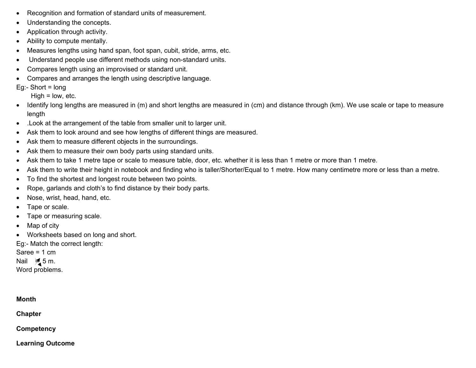- Recognition and formation of standard units of measurement.
- Understanding the concepts.
- Application through activity.
- Ability to compute mentally.
- Measures lengths using hand span, foot span, cubit, stride, arms, etc.
- Understand people use different methods using non-standard units.
- Compares length using an improvised or standard unit.
- Compares and arranges the length using descriptive language.

Eg:- Short  $=$  long

 $High = low, etc.$ 

- Identify long lengths are measured in (m) and short lengths are measured in (cm) and distance through (km). We use scale or tape to measure length
- .Look at the arrangement of the table from smaller unit to larger unit.
- Ask them to look around and see how lengths of different things are measured.
- Ask them to measure different objects in the surroundings.
- Ask them to measure their own body parts using standard units.
- Ask them to take 1 metre tape or scale to measure table, door, etc. whether it is less than 1 metre or more than 1 metre.
- Ask them to write their height in notebook and finding who is taller/Shorter/Equal to 1 metre. How many centimetre more or less than a metre.
- To find the shortest and longest route between two points.
- Rope, garlands and cloth's to find distance by their body parts.
- Nose, wrist, head, hand, etc.
- Tape or scale.
- Tape or measuring scale.
- Map of city
- Worksheets based on long and short.

Eg:- Match the correct length:

Saree = 1 cm

Nail  $\frac{1}{2}$  5 m.

Word problems.

# **Month Chapter**

**Competency**

**Learning Outcome**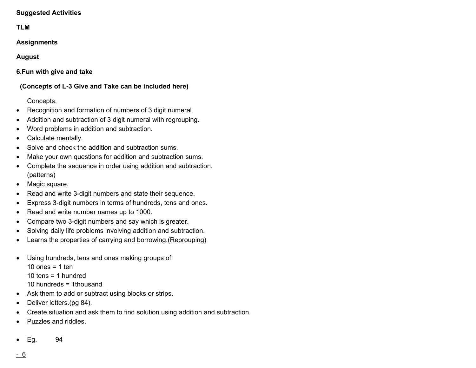#### **Suggested Activities**

## **TLM**

## **Assignments**

## **August**

**6.Fun with give and take**

 **(Concepts of L-3 Give and Take can be included here)**

## Concepts.

- Recognition and formation of numbers of 3 digit numeral.
- Addition and subtraction of 3 digit numeral with regrouping.
- Word problems in addition and subtraction.
- Calculate mentally.
- Solve and check the addition and subtraction sums.
- Make your own questions for addition and subtraction sums.
- Complete the sequence in order using addition and subtraction. (patterns)
- Magic square.
- Read and write 3-digit numbers and state their sequence.
- Express 3-digit numbers in terms of hundreds, tens and ones.
- Read and write number names up to 1000.
- Compare two 3-digit numbers and say which is greater.
- Solving daily life problems involving addition and subtraction.
- Learns the properties of carrying and borrowing.(Reprouping)
- Using hundreds, tens and ones making groups of 10 ones  $= 1$  ten
	- 10 tens  $=$  1 hundred
	-
	- 10 hundreds = 1thousand
- Ask them to add or subtract using blocks or strips.
- Deliver letters.(pg 84).
- Create situation and ask them to find solution using addition and subtraction.
- Puzzles and riddles.
- Eg. 94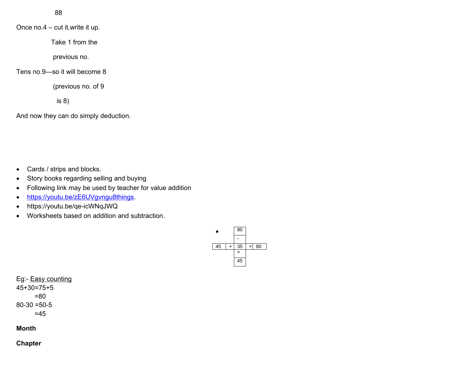88

Once no.4 – cut it,write it up.

Take 1 from the

previous no.

Tens no.9—so it will become 8

(previous no. of 9

is 8)

And now they can do simply deduction.

• Cards / strips and blocks.

- Story books regarding selling and buying
- Following link may be used by teacher for value addition
- •<https://youtu.be/zE6UVgvngu8things>.
- https://youtu.be/qe-icWNqJWQ
- Worksheets based on addition and subtraction.



Eg:- Easy counting 45+30=75+5 =80  $80 - 30 = 50 - 5$  $=45$ 

**Month**

**Chapter**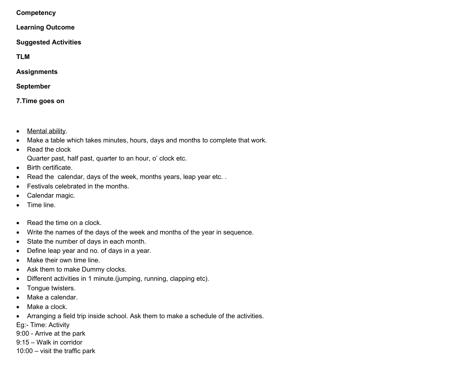**Competency**

**Learning Outcome**

**Suggested Activities**

**TLM**

**Assignments**

**September**

**7.Time goes on**

- Mental ability.
- Make a table which takes minutes, hours, days and months to complete that work.
- Read the clock

Quarter past, half past, quarter to an hour, o' clock etc.

- Birth certificate.
- Read the calendar, days of the week, months years, leap year etc..
- Festivals celebrated in the months.
- Calendar magic.
- Time line.
- Read the time on a clock.
- Write the names of the days of the week and months of the year in sequence.
- State the number of days in each month.
- Define leap year and no. of days in a year.
- Make their own time line.
- Ask them to make Dummy clocks.
- Different activities in 1 minute.(jumping, running, clapping etc).
- Tonque twisters.
- Make a calendar.
- Make a clock.
- Arranging a field trip inside school. Ask them to make a schedule of the activities.
- Eg:- Time: Activity
- 9:00 Arrive at the park
- 9:15 Walk in corridor
- 10:00 visit the traffic park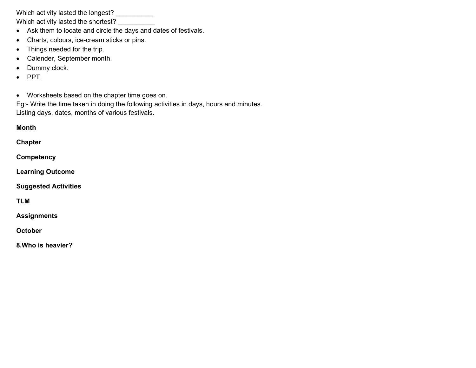Which activity lasted the longest? \_\_\_\_\_\_\_\_\_\_

Which activity lasted the shortest?

- Ask them to locate and circle the days and dates of festivals.
- Charts, colours, ice-cream sticks or pins.
- Things needed for the trip.
- Calender, September month.
- Dummy clock.
- $\bullet$  PPT.
- Worksheets based on the chapter time goes on.

Eg:- Write the time taken in doing the following activities in days, hours and minutes. Listing days, dates, months of various festivals.

**Month Chapter Competency Learning Outcome Suggested Activities TLM**

**Assignments**

**October**

**8.Who is heavier?**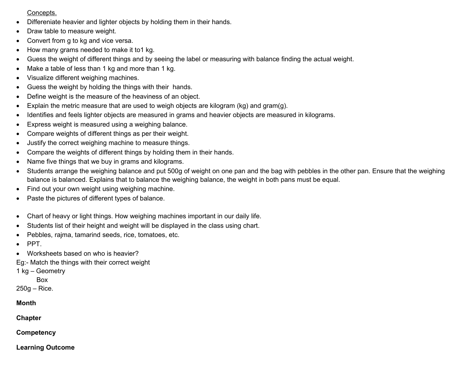#### Concepts.

- Differeniate heavier and lighter objects by holding them in their hands.
- Draw table to measure weight.
- Convert from g to kg and vice versa.
- How many grams needed to make it to1 kg.
- Guess the weight of different things and by seeing the label or measuring with balance finding the actual weight.
- Make a table of less than 1 kg and more than 1 kg.
- Visualize different weighing machines.
- Guess the weight by holding the things with their hands.
- Define weight is the measure of the heaviness of an object.
- Explain the metric measure that are used to weigh objects are kilogram (kg) and gram(g).
- Identifies and feels lighter objects are measured in grams and heavier objects are measured in kilograms.
- Express weight is measured using a weighing balance.
- Compare weights of different things as per their weight.
- Justify the correct weighing machine to measure things.
- Compare the weights of different things by holding them in their hands.
- Name five things that we buy in grams and kilograms.
- Students arrange the weighing balance and put 500g of weight on one pan and the bag with pebbles in the other pan. Ensure that the weighing balance is balanced. Explains that to balance the weighing balance, the weight in both pans must be equal.
- Find out your own weight using weighing machine.
- Paste the pictures of different types of balance.
- Chart of heavy or light things. How weighing machines important in our daily life.
- Students list of their height and weight will be displayed in the class using chart.
- Pebbles, rajma, tamarind seeds, rice, tomatoes, etc.
- $\bullet$  PPT.
- Worksheets based on who is heavier?

Eg:- Match the things with their correct weight

1 kg – Geometry

Box

250g – Rice.

#### **Month**

**Chapter**

**Competency**

**Learning Outcome**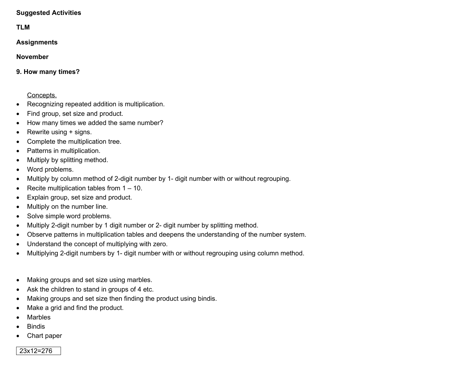#### **Suggested Activities**

#### **TLM**

**Assignments**

#### **November**

**9. How many times?**

#### Concepts.

- Recognizing repeated addition is multiplication.
- Find group, set size and product.
- How many times we added the same number?
- Rewrite using + signs.
- Complete the multiplication tree.
- Patterns in multiplication.
- Multiply by splitting method.
- Word problems.
- Multiply by column method of 2-digit number by 1- digit number with or without regrouping.
- Recite multiplication tables from  $1 10$ .
- Explain group, set size and product.
- Multiply on the number line.
- Solve simple word problems.
- Multiply 2-digit number by 1 digit number or 2- digit number by splitting method.
- Observe patterns in multiplication tables and deepens the understanding of the number system.
- Understand the concept of multiplying with zero.
- Multiplying 2-digit numbers by 1- digit number with or without regrouping using column method.
- Making groups and set size using marbles.
- Ask the children to stand in groups of 4 etc.
- Making groups and set size then finding the product using bindis.
- Make a grid and find the product.
- Marbles
- Bindis
- Chart paper

## 23x12=276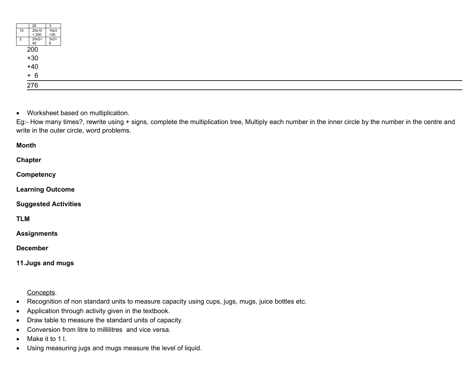|                | 20                                  |        |
|----------------|-------------------------------------|--------|
| 10             | 20x10                               | 10x3   |
|                | $= 200$                             | $=30$  |
| $\overline{2}$ |                                     | $3x2=$ |
|                | $20x2=$<br>40                       |        |
|                |                                     |        |
|                |                                     |        |
|                |                                     |        |
|                |                                     |        |
|                |                                     |        |
|                |                                     |        |
|                |                                     |        |
|                | $\frac{1}{200}$<br>+30<br>+40<br>+6 |        |
|                |                                     |        |
|                | 276                                 |        |
|                |                                     |        |

Worksheet based on multiplication.

Eg:- How many times?, rewrite using + signs, complete the multiplication tree, Multiply each number in the inner circle by the number in the centre and write in the outer circle, word problems.

**Month**

**Chapter**

**Competency**

**Learning Outcome**

**Suggested Activities**

**TLM**

**Assignments**

**December**

**11.Jugs and mugs**

Concepts.

- Recognition of non standard units to measure capacity using cups, jugs, mugs, juice bottles etc.
- Application through activity given in the textbook.
- Draw table to measure the standard units of capacity.
- Conversion from litre to millilitres and vice versa.
- Make it to 1 l.
- Using measuring jugs and mugs measure the level of liquid.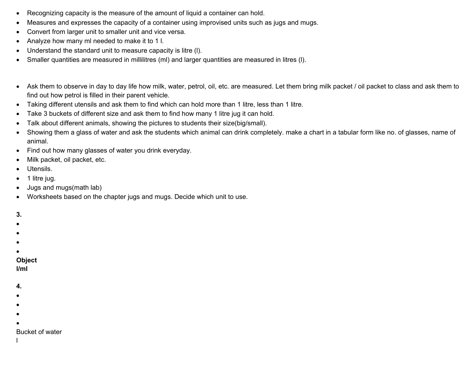- Recognizing capacity is the measure of the amount of liquid a container can hold.
- Measures and expresses the capacity of a container using improvised units such as jugs and mugs.
- Convert from larger unit to smaller unit and vice versa.
- Analyze how many ml needed to make it to 1 l.
- Understand the standard unit to measure capacity is litre (l).
- Smaller quantities are measured in millilitres (ml) and larger quantities are measured in litres (I).
- Ask them to observe in day to day life how milk, water, petrol, oil, etc. are measured. Let them bring milk packet / oil packet to class and ask them to find out how petrol is filled in their parent vehicle.
- Taking different utensils and ask them to find which can hold more than 1 litre, less than 1 litre.
- Take 3 buckets of different size and ask them to find how many 1 litre jug it can hold.
- Talk about different animals, showing the pictures to students their size(big/small).
- Showing them a glass of water and ask the students which animal can drink completely. make a chart in a tabular form like no. of glasses, name of animal.
- Find out how many glasses of water you drink everyday.
- Milk packet, oil packet, etc.
- Utensils.
- 1 litre jug.
- Jugs and mugs(math lab)
- Worksheets based on the chapter jugs and mugs. Decide which unit to use.

#### **3.**

- $\bullet$
- $\bullet$
- $\bullet$
- 
- $\bullet$

# **Object**

**l/ml**

#### **4.**

- $\bullet$
- $\bullet$
- 
- $\bullet$

#### $\bullet$ Bucket of water

- 
- l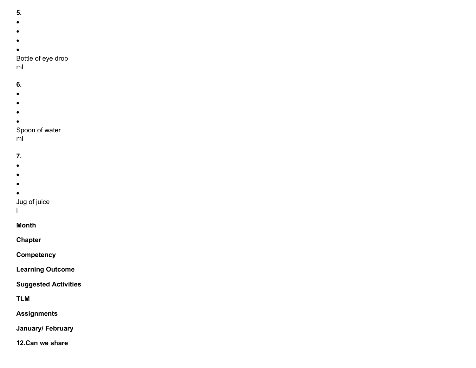- **5.**
- 
- $\bullet$
- 
- $\bullet$
- $\bullet$
- 
- $\bullet$ Bottle of eye drop

ml

## **6.**

- $\bullet$
- $\bullet$
- 
- $\bullet$
- $\bullet$

## Spoon of water

ml

## **7.**

- $\bullet$
- $\bullet$
- $\bullet$
- $\bullet$

## Jug of juice

l

# **Month**

**Chapter**

## **Competency**

**Learning Outcome**

## **Suggested Activities**

**TLM**

## **Assignments**

**January/ February**

## **12.Can we share**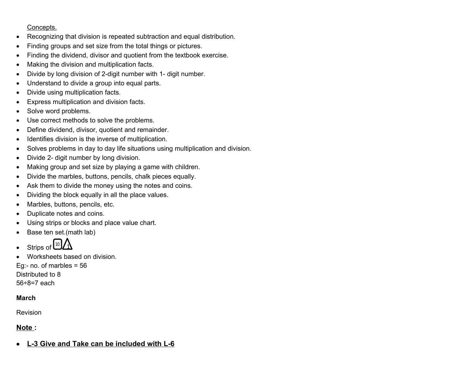#### Concepts.

- Recognizing that division is repeated subtraction and equal distribution.
- Finding groups and set size from the total things or pictures.
- Finding the dividend, divisor and quotient from the textbook exercise.
- Making the division and multiplication facts.
- Divide by long division of 2-digit number with 1- digit number.
- Understand to divide a group into equal parts.
- Divide using multiplication facts.
- Express multiplication and division facts.
- Solve word problems.
- Use correct methods to solve the problems.
- Define dividend, divisor, quotient and remainder.
- Identifies division is the inverse of multiplication.
- Solves problems in day to day life situations using multiplication and division.
- Divide 2- digit number by long division.
- Making group and set size by playing a game with children.
- Divide the marbles, buttons, pencils, chalk pieces equally.
- Ask them to divide the money using the notes and coins.
- Dividing the block equally in all the place values.
- Marbles, buttons, pencils, etc.
- Duplicate notes and coins.
- Using strips or blocks and place value chart.
- Base ten set.(math lab)



Worksheets based on division.

Eg:- no. of marbles  $= 56$ Distributed to 8 56÷8=7 each

## **March**

Revision

## **Note :**

 **L-3 Give and Take can be included with L-6**